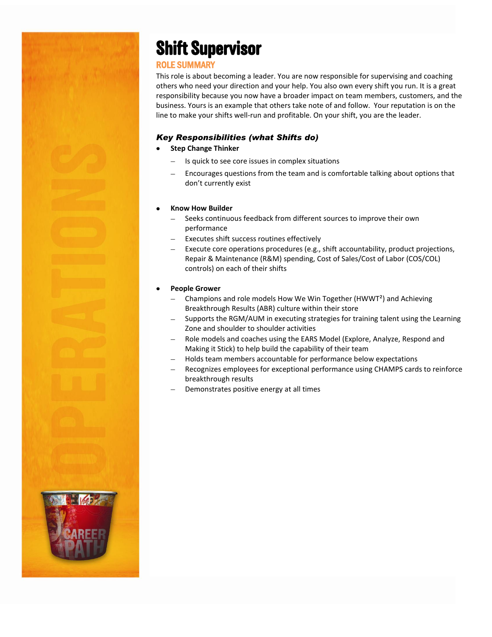## **Shift Supervisor**

## ROLE SUMMARY

This role is about becoming a leader. You are now responsible for supervising and coaching others who need your direction and your help. You also own every shift you run. It is a great responsibility because you now have a broader impact on team members, customers, and the business. Yours is an example that others take note of and follow. Your reputation is on the line to make your shifts well-run and profitable. On your shift, you are the leader.

### *Key Responsibilities (what Shifts do)*

- **Step Change Thinker**
	- Is quick to see core issues in complex situations
	- Encourages questions from the team and is comfortable talking about options that don't currently exist

#### **Know How Builder**

- Seeks continuous feedback from different sources to improve their own performance
- Executes shift success routines effectively
- Execute core operations procedures (e.g., shift accountability, product projections, Repair & Maintenance (R&M) spending, Cost of Sales/Cost of Labor (COS/COL) controls) on each of their shifts

#### **People Grower**

- Champions and role models How We Win Together (HWWT²) and Achieving Breakthrough Results (ABR) culture within their store
- Supports the RGM/AUM in executing strategies for training talent using the Learning Zone and shoulder to shoulder activities
- Role models and coaches using the EARS Model (Explore, Analyze, Respond and Making it Stick) to help build the capability of their team
- Holds team members accountable for performance below expectations
- Recognizes employees for exceptional performance using CHAMPS cards to reinforce breakthrough results
- Demonstrates positive energy at all times